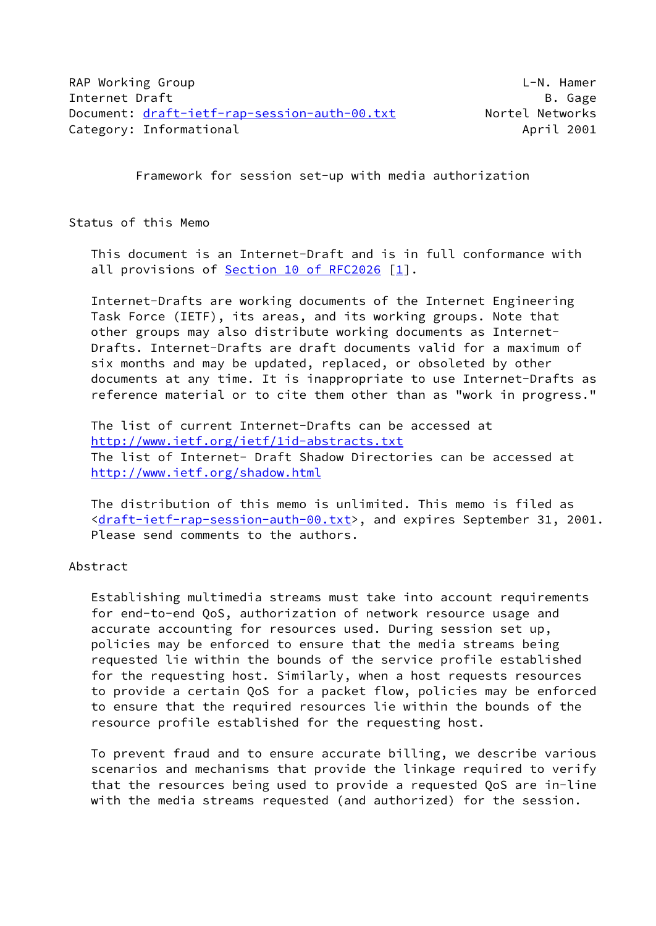Framework for session set-up with media authorization

Status of this Memo

 This document is an Internet-Draft and is in full conformance with all provisions of Section [10 of RFC2026](https://datatracker.ietf.org/doc/pdf/rfc2026#section-10) [\[1](#page-24-0)].

 Internet-Drafts are working documents of the Internet Engineering Task Force (IETF), its areas, and its working groups. Note that other groups may also distribute working documents as Internet- Drafts. Internet-Drafts are draft documents valid for a maximum of six months and may be updated, replaced, or obsoleted by other documents at any time. It is inappropriate to use Internet-Drafts as reference material or to cite them other than as "work in progress."

 The list of current Internet-Drafts can be accessed at <http://www.ietf.org/ietf/1id-abstracts.txt> The list of Internet- Draft Shadow Directories can be accessed at <http://www.ietf.org/shadow.html>

 The distribution of this memo is unlimited. This memo is filed as [<draft-ietf-rap-session-auth-00.txt>](https://datatracker.ietf.org/doc/pdf/draft-ietf-rap-session-auth-00.txt), and expires September 31, 2001. Please send comments to the authors.

Abstract

 Establishing multimedia streams must take into account requirements for end-to-end QoS, authorization of network resource usage and accurate accounting for resources used. During session set up, policies may be enforced to ensure that the media streams being requested lie within the bounds of the service profile established for the requesting host. Similarly, when a host requests resources to provide a certain QoS for a packet flow, policies may be enforced to ensure that the required resources lie within the bounds of the resource profile established for the requesting host.

 To prevent fraud and to ensure accurate billing, we describe various scenarios and mechanisms that provide the linkage required to verify that the resources being used to provide a requested QoS are in-line with the media streams requested (and authorized) for the session.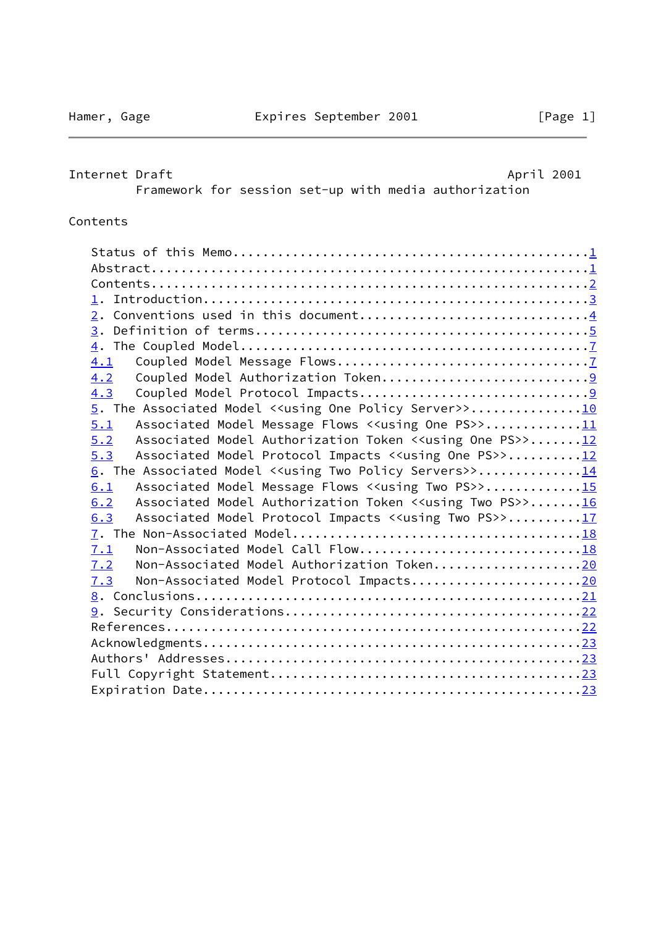# <span id="page-1-0"></span>Internet Draft **April 2001** Framework for session set-up with media authorization

## Contents

| 2. Conventions used in this document4                                             |  |
|-----------------------------------------------------------------------------------|--|
|                                                                                   |  |
|                                                                                   |  |
| 4.1                                                                               |  |
| 4.2                                                                               |  |
| 4.3                                                                               |  |
| 5. The Associated Model < <using one="" policy="" server="">&gt;10</using>        |  |
| Associated Model Message Flows < <using one="" ps="">&gt;11<br/>5.1</using>       |  |
| Associated Model Authorization Token < <using one="" ps="">&gt;12<br/>5.2</using> |  |
|                                                                                   |  |
| Associated Model Protocol Impacts < <using one="" ps="">&gt;12<br/>5.3</using>    |  |
| 6. The Associated Model < <using policy="" servers="" two="">&gt;14</using>       |  |
| Associated Model Message Flows < <using ps="" two="">&gt;15<br/>6.1</using>       |  |
| Associated Model Authorization Token < <using ps="" two="">&gt;16<br/>6.2</using> |  |
| Associated Model Protocol Impacts < <using ps="" two="">&gt;17<br/>6.3</using>    |  |
|                                                                                   |  |
| Non-Associated Model Call Flow18<br>7.1                                           |  |
| Non-Associated Model Authorization Token20<br>7.2                                 |  |
| Non-Associated Model Protocol Impacts20<br>7.3                                    |  |
|                                                                                   |  |
|                                                                                   |  |
|                                                                                   |  |
|                                                                                   |  |
|                                                                                   |  |
|                                                                                   |  |
|                                                                                   |  |
|                                                                                   |  |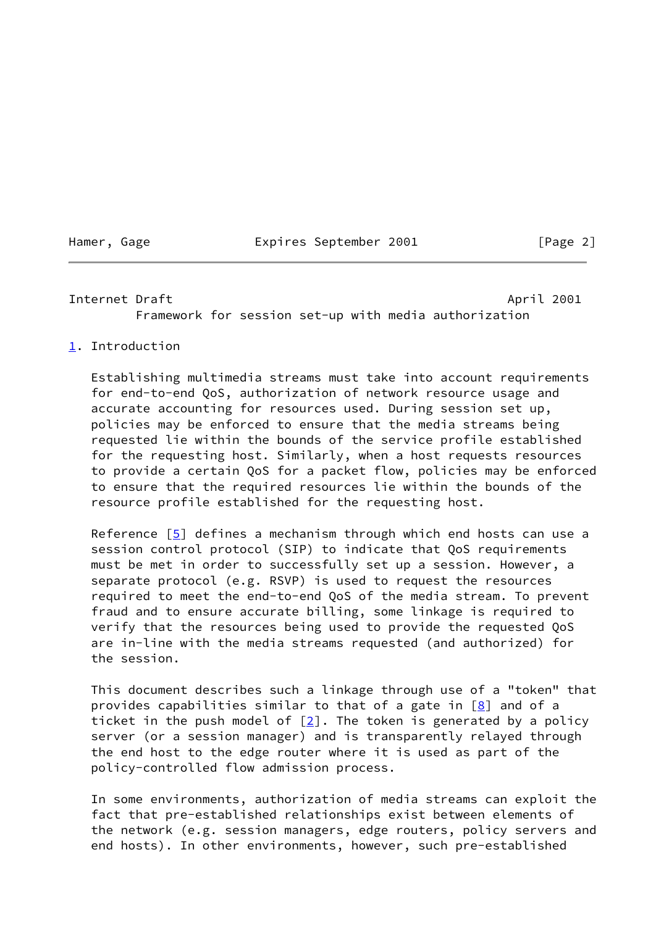Hamer, Gage **Expires September 2001** [Page 2]

#### <span id="page-2-1"></span>Internet Draft April 2001

Framework for session set-up with media authorization

### <span id="page-2-0"></span>[1](#page-2-0). Introduction

 Establishing multimedia streams must take into account requirements for end-to-end QoS, authorization of network resource usage and accurate accounting for resources used. During session set up, policies may be enforced to ensure that the media streams being requested lie within the bounds of the service profile established for the requesting host. Similarly, when a host requests resources to provide a certain QoS for a packet flow, policies may be enforced to ensure that the required resources lie within the bounds of the resource profile established for the requesting host.

Reference  $[5]$  $[5]$  defines a mechanism through which end hosts can use a session control protocol (SIP) to indicate that QoS requirements must be met in order to successfully set up a session. However, a separate protocol (e.g. RSVP) is used to request the resources required to meet the end-to-end QoS of the media stream. To prevent fraud and to ensure accurate billing, some linkage is required to verify that the resources being used to provide the requested QoS are in-line with the media streams requested (and authorized) for the session.

 This document describes such a linkage through use of a "token" that provides capabilities similar to that of a gate in  $[8]$  $[8]$  and of a ticket in the push model of  $[2]$  $[2]$ . The token is generated by a policy server (or a session manager) and is transparently relayed through the end host to the edge router where it is used as part of the policy-controlled flow admission process.

 In some environments, authorization of media streams can exploit the fact that pre-established relationships exist between elements of the network (e.g. session managers, edge routers, policy servers and end hosts). In other environments, however, such pre-established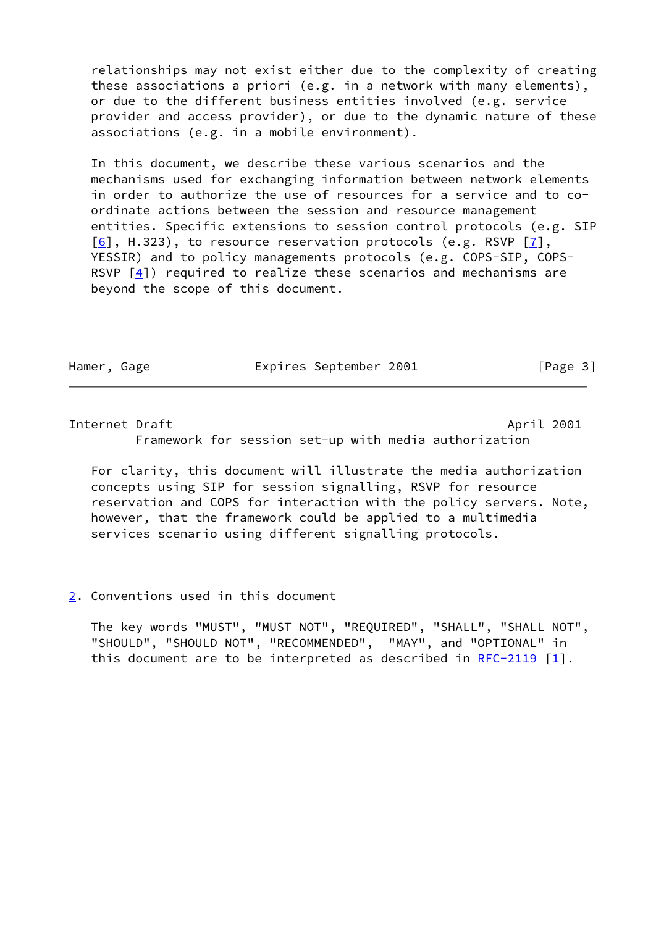relationships may not exist either due to the complexity of creating these associations a priori (e.g. in a network with many elements), or due to the different business entities involved (e.g. service provider and access provider), or due to the dynamic nature of these associations (e.g. in a mobile environment).

 In this document, we describe these various scenarios and the mechanisms used for exchanging information between network elements in order to authorize the use of resources for a service and to co ordinate actions between the session and resource management entities. Specific extensions to session control protocols (e.g. SIP  $[6]$  $[6]$ , H.323), to resource reservation protocols (e.g. RSVP  $[7]$  $[7]$ , YESSIR) and to policy managements protocols (e.g. COPS-SIP, COPS- RSVP  $[4]$ ) required to realize these scenarios and mechanisms are beyond the scope of this document.

Hamer, Gage **Expires September 2001** [Page 3]

### <span id="page-3-1"></span>Internet Draft April 2001

Framework for session set-up with media authorization

 For clarity, this document will illustrate the media authorization concepts using SIP for session signalling, RSVP for resource reservation and COPS for interaction with the policy servers. Note, however, that the framework could be applied to a multimedia services scenario using different signalling protocols.

### <span id="page-3-0"></span>[2](#page-3-0). Conventions used in this document

 The key words "MUST", "MUST NOT", "REQUIRED", "SHALL", "SHALL NOT", "SHOULD", "SHOULD NOT", "RECOMMENDED", "MAY", and "OPTIONAL" in this document are to be interpreted as described in  $RFC-2119$  [\[1\]](#page-24-0).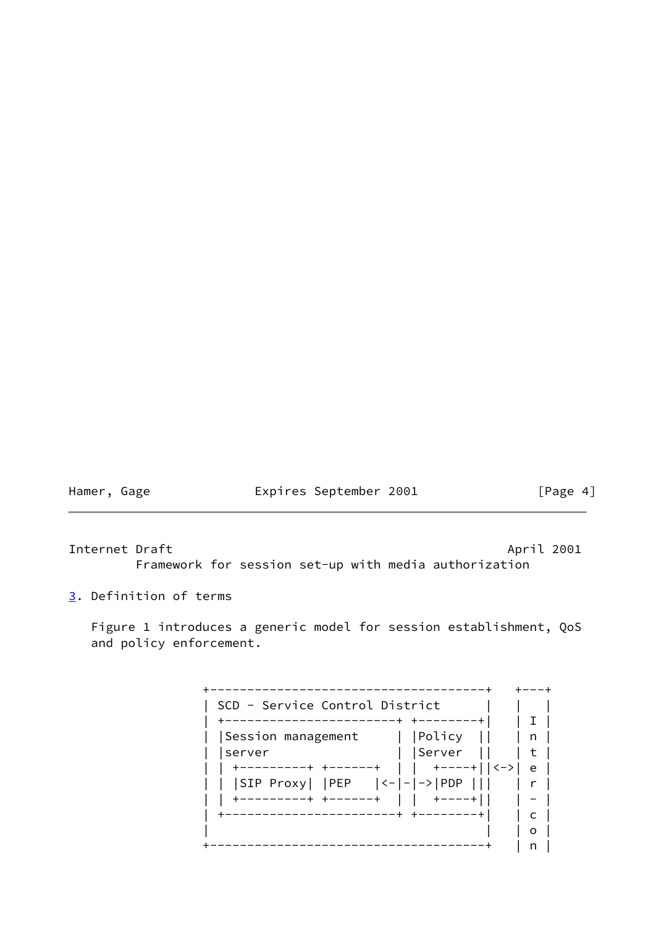Hamer, Gage **Expires September 2001** [Page 4]

<span id="page-4-1"></span>Internet Draft April 2001

Framework for session set-up with media authorization

<span id="page-4-0"></span>[3](#page-4-0). Definition of terms

 Figure 1 introduces a generic model for session establishment, QoS and policy enforcement.

 +-------------------------------------+ +---+ | SCD - Service Control District | | | | +-----------------------+ +--------+| | I | | |Session management | |Policy || | n | | |server | |Server || | t | | | +---------+ +------+ | | +----+||<->| e | | | |SIP Proxy| |PEP |<-|-|->|PDP ||| | r | | | +---------+ +------+ | | +----+|| | - | | +-----------------------+ +--------+| | c | | | | o | +-------------------------------------+ | n |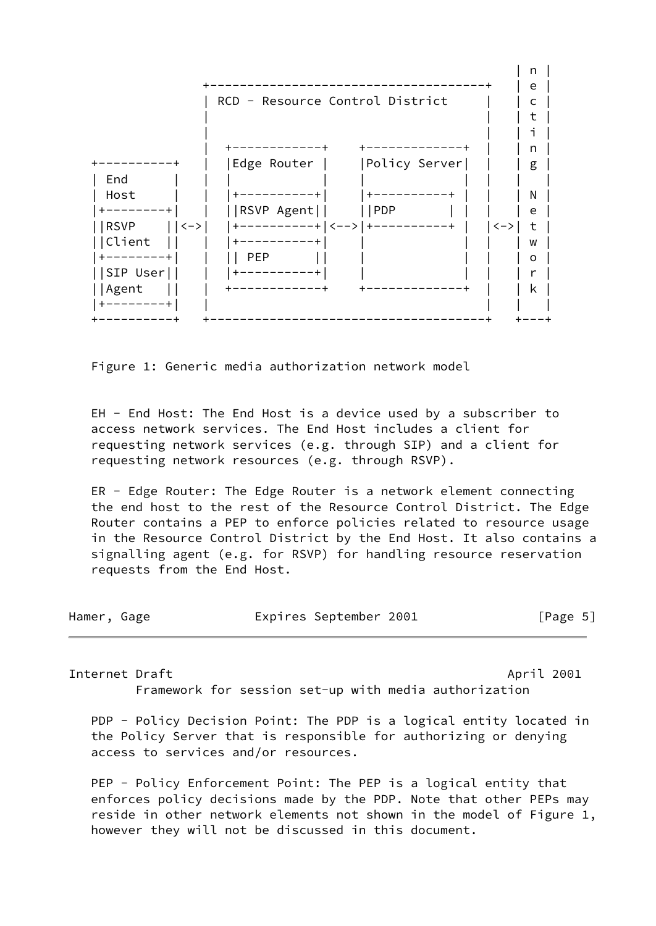

Figure 1: Generic media authorization network model

 EH - End Host: The End Host is a device used by a subscriber to access network services. The End Host includes a client for requesting network services (e.g. through SIP) and a client for requesting network resources (e.g. through RSVP).

 ER - Edge Router: The Edge Router is a network element connecting the end host to the rest of the Resource Control District. The Edge Router contains a PEP to enforce policies related to resource usage in the Resource Control District by the End Host. It also contains a signalling agent (e.g. for RSVP) for handling resource reservation requests from the End Host.

| Hamer, Gage |  | Expires September 2001 | [Page 5] |
|-------------|--|------------------------|----------|
|-------------|--|------------------------|----------|

Internet Draft April 2001 Framework for session set-up with media authorization

PDP - Policy Decision Point: The PDP is a logical entity located in

 the Policy Server that is responsible for authorizing or denying access to services and/or resources.

PEP - Policy Enforcement Point: The PEP is a logical entity that enforces policy decisions made by the PDP. Note that other PEPs may reside in other network elements not shown in the model of Figure 1, however they will not be discussed in this document.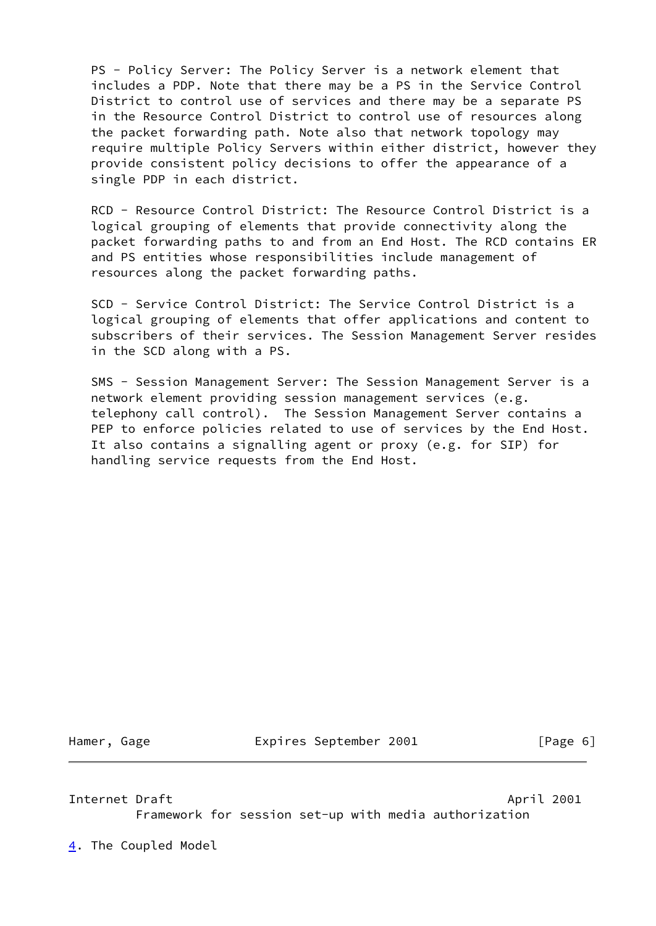PS - Policy Server: The Policy Server is a network element that includes a PDP. Note that there may be a PS in the Service Control District to control use of services and there may be a separate PS in the Resource Control District to control use of resources along the packet forwarding path. Note also that network topology may require multiple Policy Servers within either district, however they provide consistent policy decisions to offer the appearance of a single PDP in each district.

 RCD - Resource Control District: The Resource Control District is a logical grouping of elements that provide connectivity along the packet forwarding paths to and from an End Host. The RCD contains ER and PS entities whose responsibilities include management of resources along the packet forwarding paths.

 SCD - Service Control District: The Service Control District is a logical grouping of elements that offer applications and content to subscribers of their services. The Session Management Server resides in the SCD along with a PS.

 SMS - Session Management Server: The Session Management Server is a network element providing session management services (e.g. telephony call control). The Session Management Server contains a PEP to enforce policies related to use of services by the End Host. It also contains a signalling agent or proxy (e.g. for SIP) for handling service requests from the End Host.

Hamer, Gage **Expires September 2001** [Page 6]

<span id="page-6-1"></span>Internet Draft April 2001 Framework for session set-up with media authorization

<span id="page-6-0"></span>[4](#page-6-0). The Coupled Model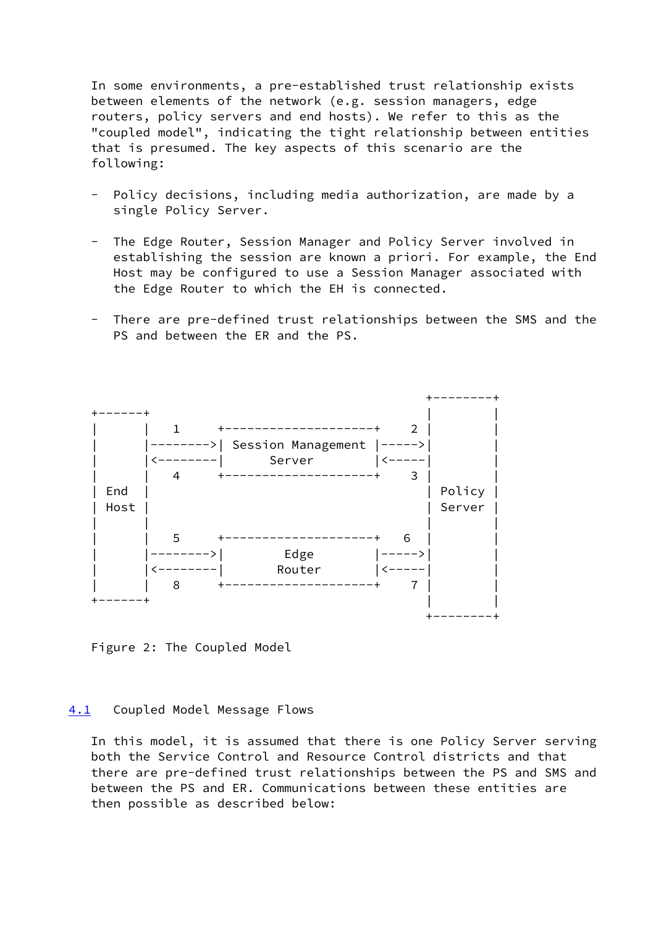In some environments, a pre-established trust relationship exists between elements of the network (e.g. session managers, edge routers, policy servers and end hosts). We refer to this as the "coupled model", indicating the tight relationship between entities that is presumed. The key aspects of this scenario are the following:

- Policy decisions, including media authorization, are made by a single Policy Server.
- The Edge Router, Session Manager and Policy Server involved in establishing the session are known a priori. For example, the End Host may be configured to use a Session Manager associated with the Edge Router to which the EH is connected.
- There are pre-defined trust relationships between the SMS and the PS and between the ER and the PS.



Figure 2: The Coupled Model

### <span id="page-7-0"></span>[4.1](#page-7-0) Coupled Model Message Flows

 In this model, it is assumed that there is one Policy Server serving both the Service Control and Resource Control districts and that there are pre-defined trust relationships between the PS and SMS and between the PS and ER. Communications between these entities are then possible as described below: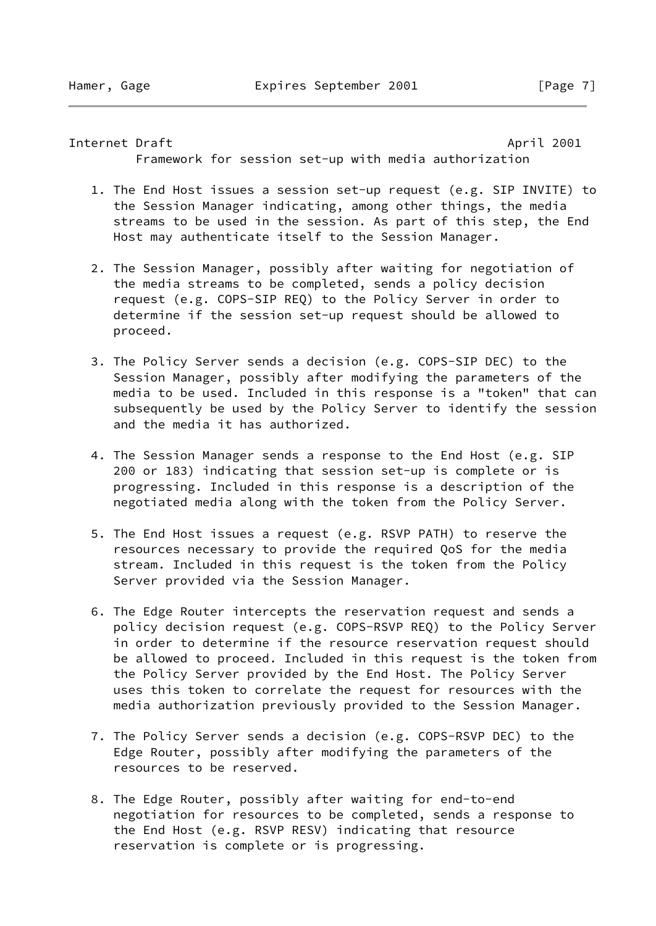Internet Draft **April 2001** 

Framework for session set-up with media authorization

- 1. The End Host issues a session set-up request (e.g. SIP INVITE) to the Session Manager indicating, among other things, the media streams to be used in the session. As part of this step, the End Host may authenticate itself to the Session Manager.
- 2. The Session Manager, possibly after waiting for negotiation of the media streams to be completed, sends a policy decision request (e.g. COPS-SIP REQ) to the Policy Server in order to determine if the session set-up request should be allowed to proceed.
- 3. The Policy Server sends a decision (e.g. COPS-SIP DEC) to the Session Manager, possibly after modifying the parameters of the media to be used. Included in this response is a "token" that can subsequently be used by the Policy Server to identify the session and the media it has authorized.
- 4. The Session Manager sends a response to the End Host (e.g. SIP 200 or 183) indicating that session set-up is complete or is progressing. Included in this response is a description of the negotiated media along with the token from the Policy Server.
- 5. The End Host issues a request (e.g. RSVP PATH) to reserve the resources necessary to provide the required QoS for the media stream. Included in this request is the token from the Policy Server provided via the Session Manager.
- 6. The Edge Router intercepts the reservation request and sends a policy decision request (e.g. COPS-RSVP REQ) to the Policy Server in order to determine if the resource reservation request should be allowed to proceed. Included in this request is the token from the Policy Server provided by the End Host. The Policy Server uses this token to correlate the request for resources with the media authorization previously provided to the Session Manager.
- 7. The Policy Server sends a decision (e.g. COPS-RSVP DEC) to the Edge Router, possibly after modifying the parameters of the resources to be reserved.
- 8. The Edge Router, possibly after waiting for end-to-end negotiation for resources to be completed, sends a response to the End Host (e.g. RSVP RESV) indicating that resource reservation is complete or is progressing.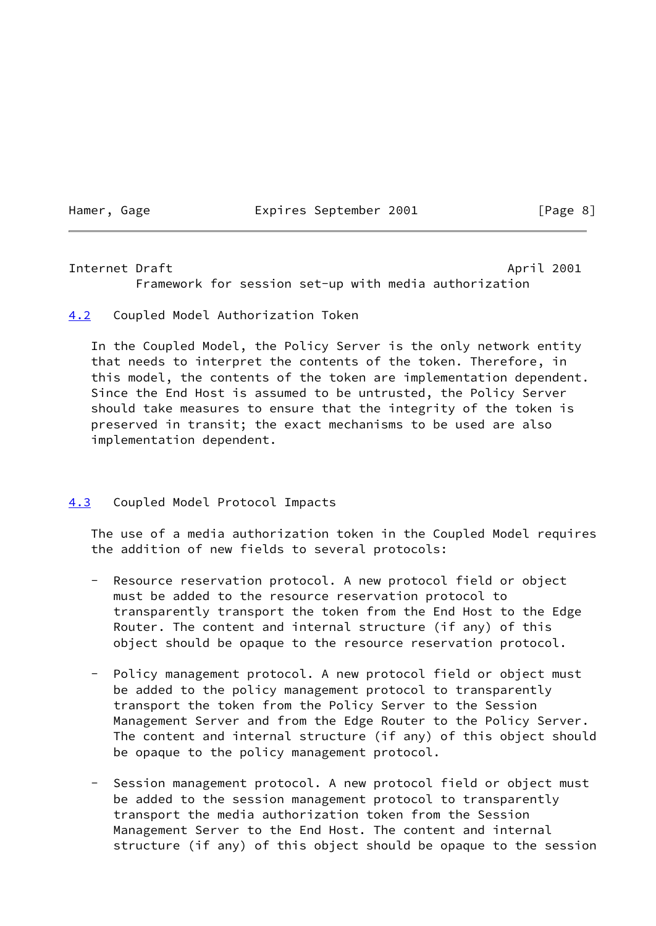Hamer, Gage **Expires September 2001** [Page 8]

<span id="page-9-1"></span>Internet Draft April 2001 Framework for session set-up with media authorization

<span id="page-9-0"></span>[4.2](#page-9-0) Coupled Model Authorization Token

 In the Coupled Model, the Policy Server is the only network entity that needs to interpret the contents of the token. Therefore, in this model, the contents of the token are implementation dependent. Since the End Host is assumed to be untrusted, the Policy Server should take measures to ensure that the integrity of the token is preserved in transit; the exact mechanisms to be used are also implementation dependent.

### <span id="page-9-2"></span>[4.3](#page-9-2) Coupled Model Protocol Impacts

 The use of a media authorization token in the Coupled Model requires the addition of new fields to several protocols:

- Resource reservation protocol. A new protocol field or object must be added to the resource reservation protocol to transparently transport the token from the End Host to the Edge Router. The content and internal structure (if any) of this object should be opaque to the resource reservation protocol.
- Policy management protocol. A new protocol field or object must be added to the policy management protocol to transparently transport the token from the Policy Server to the Session Management Server and from the Edge Router to the Policy Server. The content and internal structure (if any) of this object should be opaque to the policy management protocol.
- Session management protocol. A new protocol field or object must be added to the session management protocol to transparently transport the media authorization token from the Session Management Server to the End Host. The content and internal structure (if any) of this object should be opaque to the session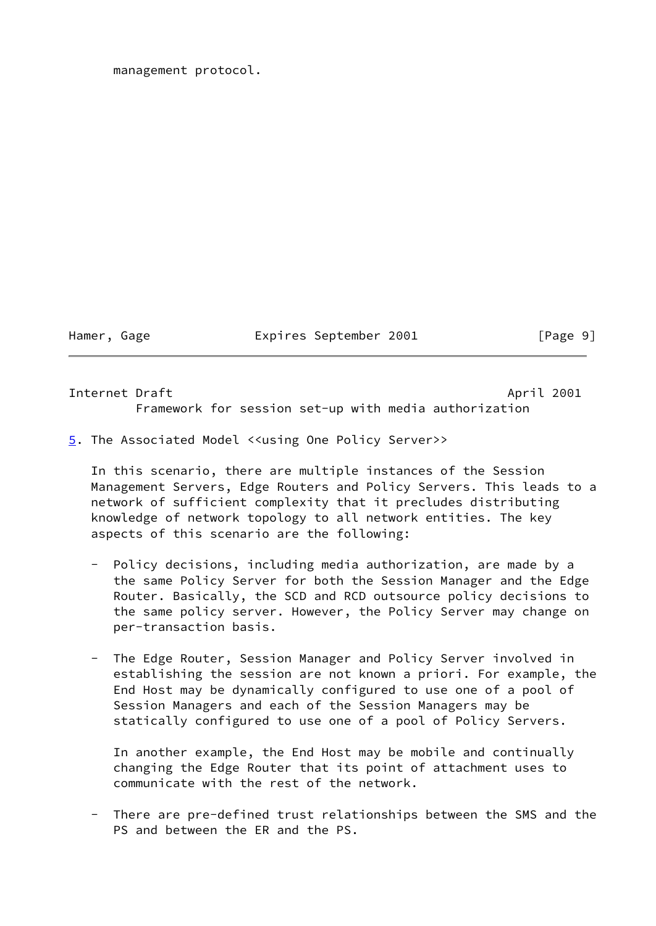Hamer, Gage **Expires September 2001** [Page 9]

<span id="page-10-1"></span>Internet Draft April 2001 Framework for session set-up with media authorization

<span id="page-10-0"></span>[5](#page-10-0). The Associated Model <<using One Policy Server>>

 In this scenario, there are multiple instances of the Session Management Servers, Edge Routers and Policy Servers. This leads to a network of sufficient complexity that it precludes distributing knowledge of network topology to all network entities. The key aspects of this scenario are the following:

- Policy decisions, including media authorization, are made by a the same Policy Server for both the Session Manager and the Edge Router. Basically, the SCD and RCD outsource policy decisions to the same policy server. However, the Policy Server may change on per-transaction basis.
- The Edge Router, Session Manager and Policy Server involved in establishing the session are not known a priori. For example, the End Host may be dynamically configured to use one of a pool of Session Managers and each of the Session Managers may be statically configured to use one of a pool of Policy Servers.

 In another example, the End Host may be mobile and continually changing the Edge Router that its point of attachment uses to communicate with the rest of the network.

 - There are pre-defined trust relationships between the SMS and the PS and between the ER and the PS.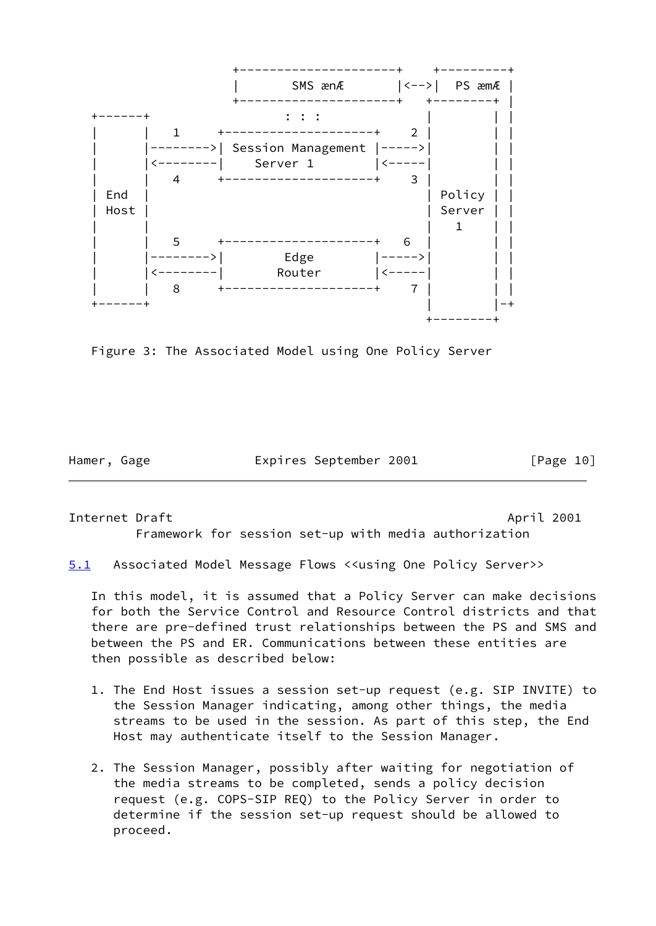

Figure 3: The Associated Model using One Policy Server

Hamer, Gage **Expires September 2001** [Page 10]

<span id="page-11-1"></span>Internet Draft **April 2001** Framework for session set-up with media authorization

<span id="page-11-0"></span>[5.1](#page-11-0) Associated Model Message Flows <<using One Policy Server>>

 In this model, it is assumed that a Policy Server can make decisions for both the Service Control and Resource Control districts and that there are pre-defined trust relationships between the PS and SMS and between the PS and ER. Communications between these entities are then possible as described below:

- 1. The End Host issues a session set-up request (e.g. SIP INVITE) to the Session Manager indicating, among other things, the media streams to be used in the session. As part of this step, the End Host may authenticate itself to the Session Manager.
- 2. The Session Manager, possibly after waiting for negotiation of the media streams to be completed, sends a policy decision request (e.g. COPS-SIP REQ) to the Policy Server in order to determine if the session set-up request should be allowed to proceed.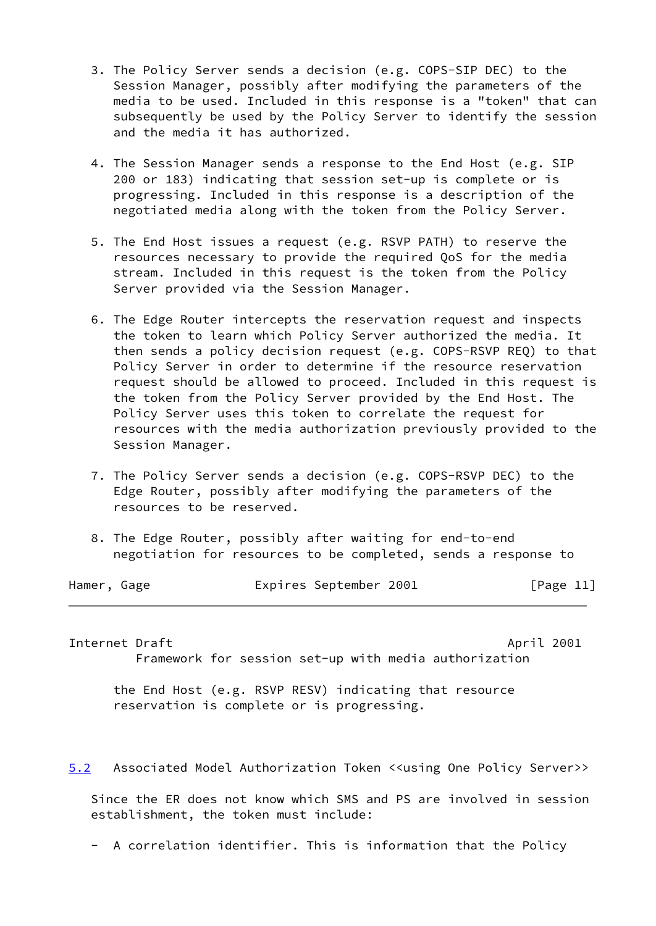- 3. The Policy Server sends a decision (e.g. COPS-SIP DEC) to the Session Manager, possibly after modifying the parameters of the media to be used. Included in this response is a "token" that can subsequently be used by the Policy Server to identify the session and the media it has authorized.
- 4. The Session Manager sends a response to the End Host (e.g. SIP 200 or 183) indicating that session set-up is complete or is progressing. Included in this response is a description of the negotiated media along with the token from the Policy Server.
- 5. The End Host issues a request (e.g. RSVP PATH) to reserve the resources necessary to provide the required QoS for the media stream. Included in this request is the token from the Policy Server provided via the Session Manager.
- 6. The Edge Router intercepts the reservation request and inspects the token to learn which Policy Server authorized the media. It then sends a policy decision request (e.g. COPS-RSVP REQ) to that Policy Server in order to determine if the resource reservation request should be allowed to proceed. Included in this request is the token from the Policy Server provided by the End Host. The Policy Server uses this token to correlate the request for resources with the media authorization previously provided to the Session Manager.
- 7. The Policy Server sends a decision (e.g. COPS-RSVP DEC) to the Edge Router, possibly after modifying the parameters of the resources to be reserved.
- 8. The Edge Router, possibly after waiting for end-to-end negotiation for resources to be completed, sends a response to

| Hamer, Gage | Expires September 2001 | [Page 11] |
|-------------|------------------------|-----------|
|             |                        |           |

<span id="page-12-1"></span>Internet Draft April 2001 Framework for session set-up with media authorization

 the End Host (e.g. RSVP RESV) indicating that resource reservation is complete or is progressing.

<span id="page-12-0"></span>[5.2](#page-12-0) Associated Model Authorization Token <<using One Policy Server>>

 Since the ER does not know which SMS and PS are involved in session establishment, the token must include:

- A correlation identifier. This is information that the Policy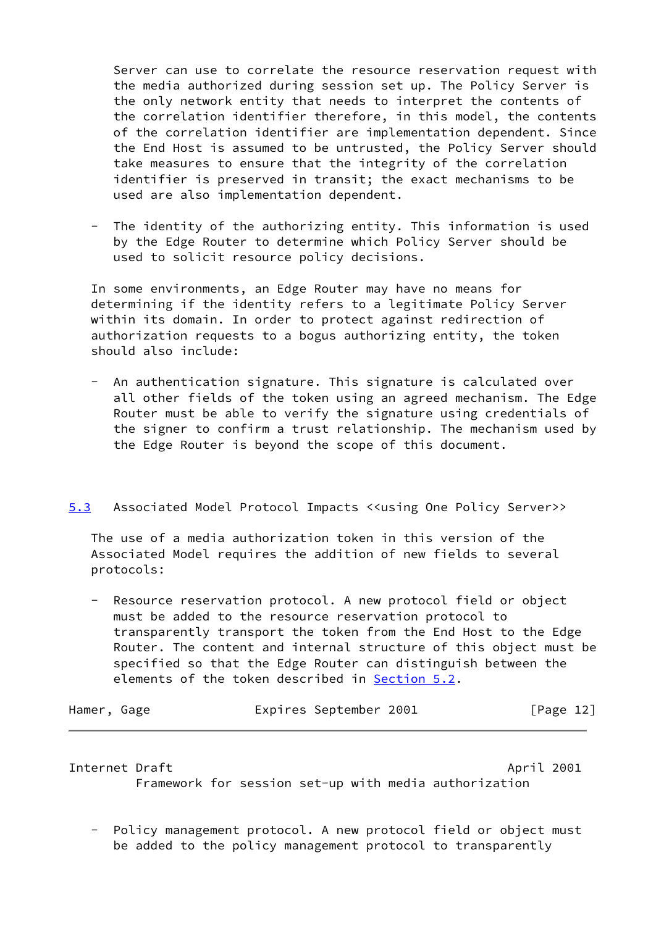Server can use to correlate the resource reservation request with the media authorized during session set up. The Policy Server is the only network entity that needs to interpret the contents of the correlation identifier therefore, in this model, the contents of the correlation identifier are implementation dependent. Since the End Host is assumed to be untrusted, the Policy Server should take measures to ensure that the integrity of the correlation identifier is preserved in transit; the exact mechanisms to be used are also implementation dependent.

 - The identity of the authorizing entity. This information is used by the Edge Router to determine which Policy Server should be used to solicit resource policy decisions.

 In some environments, an Edge Router may have no means for determining if the identity refers to a legitimate Policy Server within its domain. In order to protect against redirection of authorization requests to a bogus authorizing entity, the token should also include:

 - An authentication signature. This signature is calculated over all other fields of the token using an agreed mechanism. The Edge Router must be able to verify the signature using credentials of the signer to confirm a trust relationship. The mechanism used by the Edge Router is beyond the scope of this document.

### <span id="page-13-0"></span>[5.3](#page-13-0) Associated Model Protocol Impacts <<using One Policy Server>>

 The use of a media authorization token in this version of the Associated Model requires the addition of new fields to several protocols:

Resource reservation protocol. A new protocol field or object must be added to the resource reservation protocol to transparently transport the token from the End Host to the Edge Router. The content and internal structure of this object must be specified so that the Edge Router can distinguish between the elements of the token described in [Section 5.2](#page-12-0).

| Hamer, Gage |  | Expires September 2001 | [Page 12] |
|-------------|--|------------------------|-----------|
|-------------|--|------------------------|-----------|

Internet Draft April 2001 Framework for session set-up with media authorization

 - Policy management protocol. A new protocol field or object must be added to the policy management protocol to transparently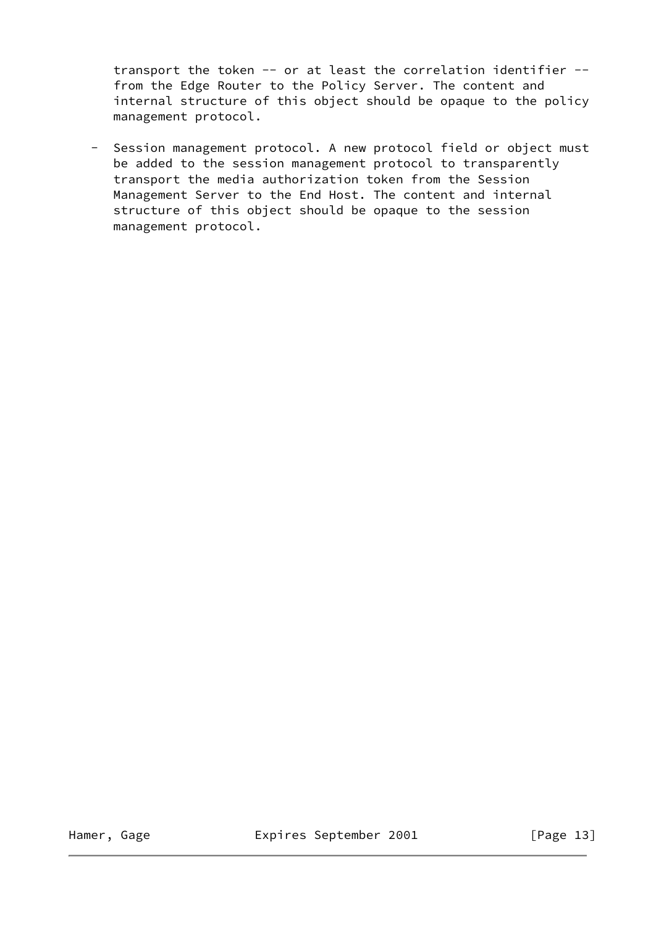transport the token -- or at least the correlation identifier - from the Edge Router to the Policy Server. The content and internal structure of this object should be opaque to the policy management protocol.

 - Session management protocol. A new protocol field or object must be added to the session management protocol to transparently transport the media authorization token from the Session Management Server to the End Host. The content and internal structure of this object should be opaque to the session management protocol.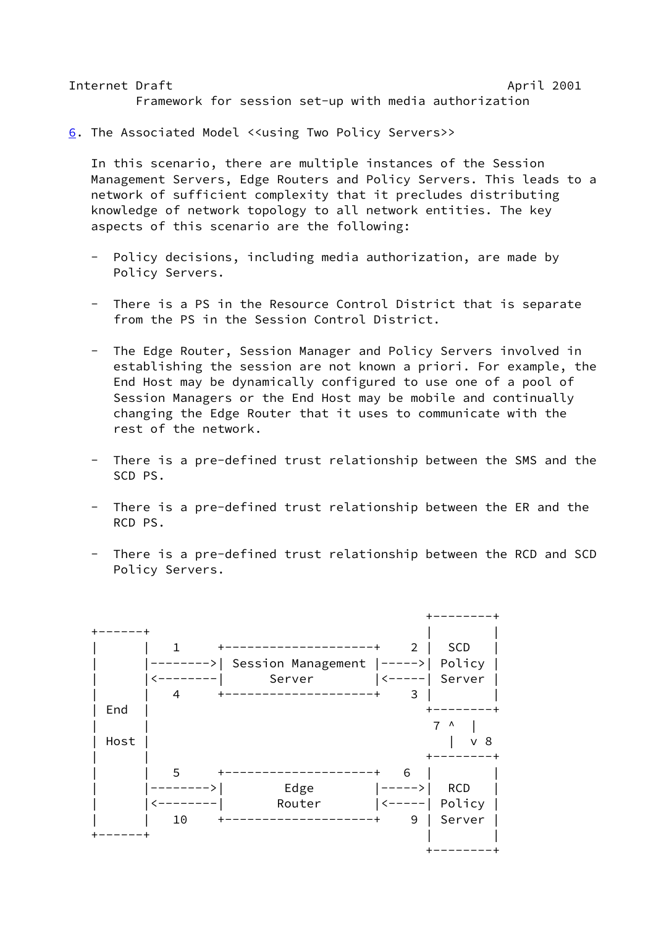<span id="page-15-1"></span>Internet Draft April 2001 Framework for session set-up with media authorization

<span id="page-15-0"></span>[6](#page-15-0). The Associated Model <<using Two Policy Servers>>

 In this scenario, there are multiple instances of the Session Management Servers, Edge Routers and Policy Servers. This leads to a network of sufficient complexity that it precludes distributing knowledge of network topology to all network entities. The key aspects of this scenario are the following:

- Policy decisions, including media authorization, are made by Policy Servers.
- There is a PS in the Resource Control District that is separate from the PS in the Session Control District.
- The Edge Router, Session Manager and Policy Servers involved in establishing the session are not known a priori. For example, the End Host may be dynamically configured to use one of a pool of Session Managers or the End Host may be mobile and continually changing the Edge Router that it uses to communicate with the rest of the network.
- There is a pre-defined trust relationship between the SMS and the SCD PS.
- There is a pre-defined trust relationship between the ER and the RCD PS.
- There is a pre-defined trust relationship between the RCD and SCD Policy Servers.

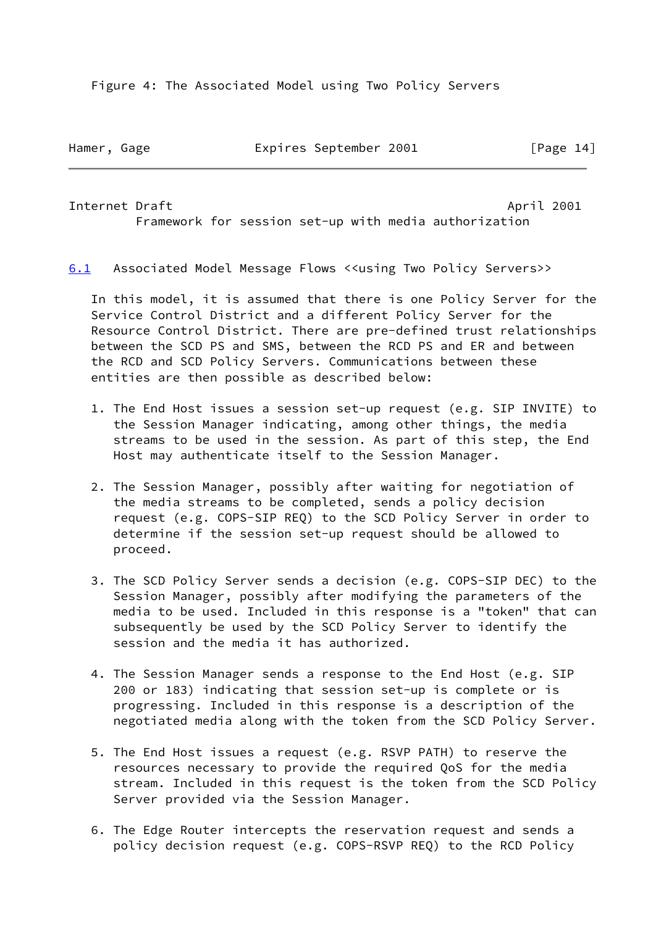Figure 4: The Associated Model using Two Policy Servers

Hamer, Gage **Expires September 2001** [Page 14]

<span id="page-16-1"></span>Internet Draft April 2001 Framework for session set-up with media authorization

<span id="page-16-0"></span>[6.1](#page-16-0) Associated Model Message Flows <<using Two Policy Servers>>

 In this model, it is assumed that there is one Policy Server for the Service Control District and a different Policy Server for the Resource Control District. There are pre-defined trust relationships between the SCD PS and SMS, between the RCD PS and ER and between the RCD and SCD Policy Servers. Communications between these entities are then possible as described below:

- 1. The End Host issues a session set-up request (e.g. SIP INVITE) to the Session Manager indicating, among other things, the media streams to be used in the session. As part of this step, the End Host may authenticate itself to the Session Manager.
- 2. The Session Manager, possibly after waiting for negotiation of the media streams to be completed, sends a policy decision request (e.g. COPS-SIP REQ) to the SCD Policy Server in order to determine if the session set-up request should be allowed to proceed.
- 3. The SCD Policy Server sends a decision (e.g. COPS-SIP DEC) to the Session Manager, possibly after modifying the parameters of the media to be used. Included in this response is a "token" that can subsequently be used by the SCD Policy Server to identify the session and the media it has authorized.
- 4. The Session Manager sends a response to the End Host (e.g. SIP 200 or 183) indicating that session set-up is complete or is progressing. Included in this response is a description of the negotiated media along with the token from the SCD Policy Server.
- 5. The End Host issues a request (e.g. RSVP PATH) to reserve the resources necessary to provide the required QoS for the media stream. Included in this request is the token from the SCD Policy Server provided via the Session Manager.
- 6. The Edge Router intercepts the reservation request and sends a policy decision request (e.g. COPS-RSVP REQ) to the RCD Policy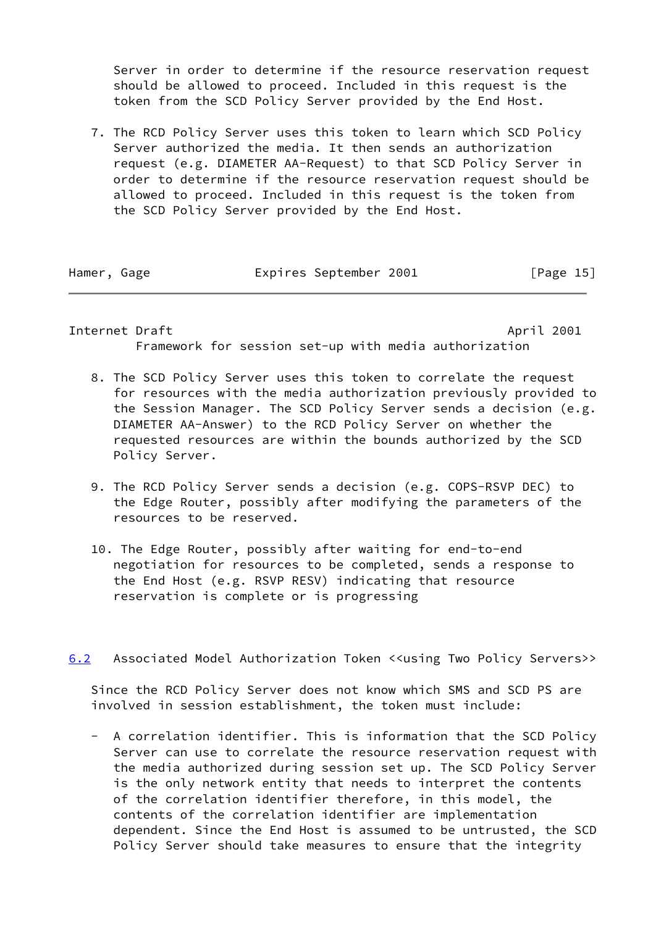Server in order to determine if the resource reservation request should be allowed to proceed. Included in this request is the token from the SCD Policy Server provided by the End Host.

 7. The RCD Policy Server uses this token to learn which SCD Policy Server authorized the media. It then sends an authorization request (e.g. DIAMETER AA-Request) to that SCD Policy Server in order to determine if the resource reservation request should be allowed to proceed. Included in this request is the token from the SCD Policy Server provided by the End Host.

Hamer, Gage **Expires September 2001** [Page 15]

<span id="page-17-1"></span>Internet Draft April 2001 Framework for session set-up with media authorization

- 8. The SCD Policy Server uses this token to correlate the request for resources with the media authorization previously provided to the Session Manager. The SCD Policy Server sends a decision (e.g. DIAMETER AA-Answer) to the RCD Policy Server on whether the requested resources are within the bounds authorized by the SCD Policy Server.
- 9. The RCD Policy Server sends a decision (e.g. COPS-RSVP DEC) to the Edge Router, possibly after modifying the parameters of the resources to be reserved.
- 10. The Edge Router, possibly after waiting for end-to-end negotiation for resources to be completed, sends a response to the End Host (e.g. RSVP RESV) indicating that resource reservation is complete or is progressing
- <span id="page-17-0"></span>[6.2](#page-17-0) Associated Model Authorization Token <<using Two Policy Servers>>

 Since the RCD Policy Server does not know which SMS and SCD PS are involved in session establishment, the token must include:

 - A correlation identifier. This is information that the SCD Policy Server can use to correlate the resource reservation request with the media authorized during session set up. The SCD Policy Server is the only network entity that needs to interpret the contents of the correlation identifier therefore, in this model, the contents of the correlation identifier are implementation dependent. Since the End Host is assumed to be untrusted, the SCD Policy Server should take measures to ensure that the integrity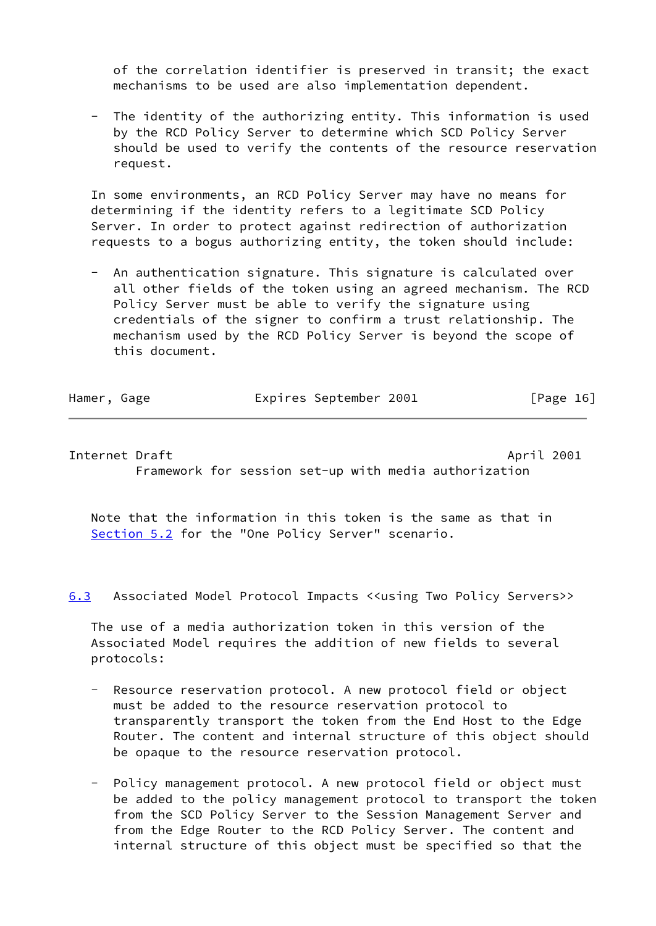of the correlation identifier is preserved in transit; the exact mechanisms to be used are also implementation dependent.

The identity of the authorizing entity. This information is used by the RCD Policy Server to determine which SCD Policy Server should be used to verify the contents of the resource reservation request.

 In some environments, an RCD Policy Server may have no means for determining if the identity refers to a legitimate SCD Policy Server. In order to protect against redirection of authorization requests to a bogus authorizing entity, the token should include:

An authentication signature. This signature is calculated over all other fields of the token using an agreed mechanism. The RCD Policy Server must be able to verify the signature using credentials of the signer to confirm a trust relationship. The mechanism used by the RCD Policy Server is beyond the scope of this document.

| Hamer, Gage | Expires September 2001 | [Page 16] |
|-------------|------------------------|-----------|
|             |                        |           |

<span id="page-18-1"></span>Internet Draft **April 2001** Framework for session set-up with media authorization

 Note that the information in this token is the same as that in [Section 5.2](#page-12-0) for the "One Policy Server" scenario.

<span id="page-18-0"></span>[6.3](#page-18-0) Associated Model Protocol Impacts <<using Two Policy Servers>>

 The use of a media authorization token in this version of the Associated Model requires the addition of new fields to several protocols:

- Resource reservation protocol. A new protocol field or object must be added to the resource reservation protocol to transparently transport the token from the End Host to the Edge Router. The content and internal structure of this object should be opaque to the resource reservation protocol.
- Policy management protocol. A new protocol field or object must be added to the policy management protocol to transport the token from the SCD Policy Server to the Session Management Server and from the Edge Router to the RCD Policy Server. The content and internal structure of this object must be specified so that the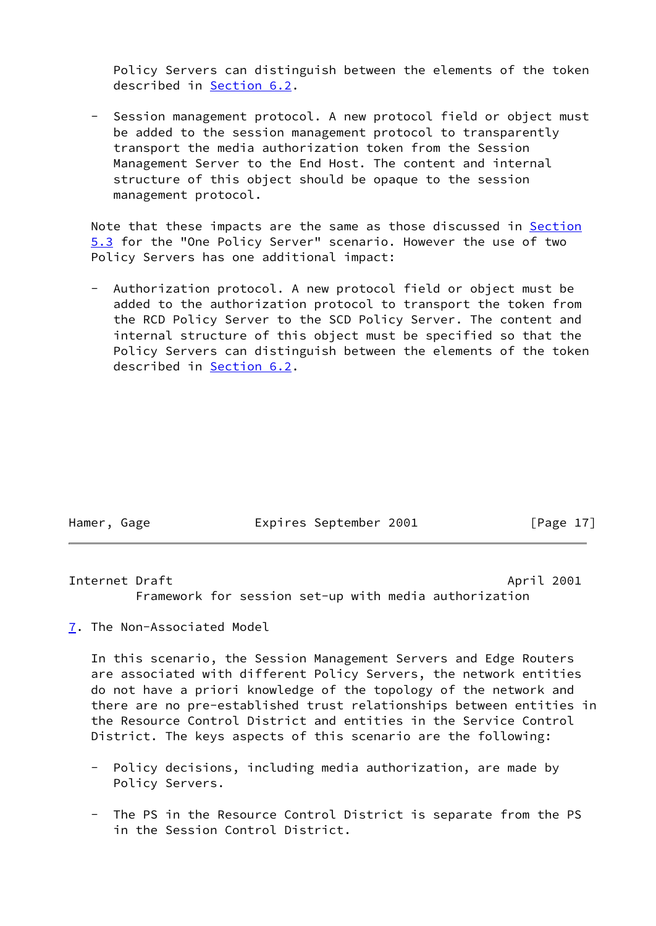Policy Servers can distinguish between the elements of the token described in [Section 6.2](#page-17-0).

 - Session management protocol. A new protocol field or object must be added to the session management protocol to transparently transport the media authorization token from the Session Management Server to the End Host. The content and internal structure of this object should be opaque to the session management protocol.

Note that these impacts are the same as those discussed in [Section](#page-13-0) [5.3](#page-13-0) for the "One Policy Server" scenario. However the use of two Policy Servers has one additional impact:

Authorization protocol. A new protocol field or object must be added to the authorization protocol to transport the token from the RCD Policy Server to the SCD Policy Server. The content and internal structure of this object must be specified so that the Policy Servers can distinguish between the elements of the token described in [Section 6.2](#page-17-0).

Hamer, Gage **Expires September 2001** [Page 17]

<span id="page-19-1"></span>Internet Draft April 2001 Framework for session set-up with media authorization

<span id="page-19-0"></span>[7](#page-19-0). The Non-Associated Model

 In this scenario, the Session Management Servers and Edge Routers are associated with different Policy Servers, the network entities do not have a priori knowledge of the topology of the network and there are no pre-established trust relationships between entities in the Resource Control District and entities in the Service Control District. The keys aspects of this scenario are the following:

- Policy decisions, including media authorization, are made by Policy Servers.
- The PS in the Resource Control District is separate from the PS in the Session Control District.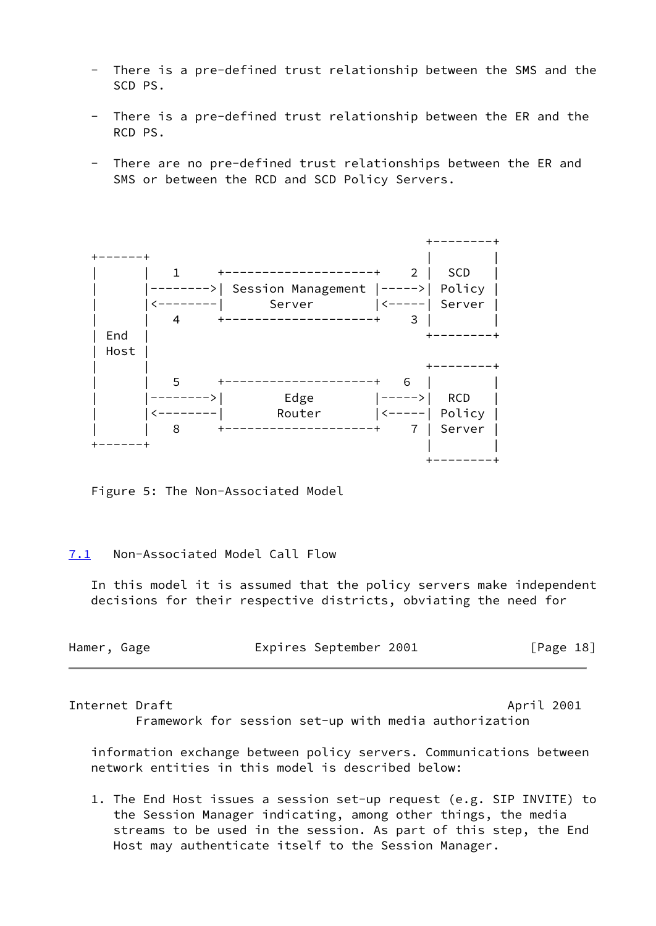- There is a pre-defined trust relationship between the SMS and the SCD PS.
- There is a pre-defined trust relationship between the ER and the RCD PS.
- There are no pre-defined trust relationships between the ER and SMS or between the RCD and SCD Policy Servers.



Figure 5: The Non-Associated Model

## <span id="page-20-0"></span>[7.1](#page-20-0) Non-Associated Model Call Flow

 In this model it is assumed that the policy servers make independent decisions for their respective districts, obviating the need for

| Hamer, Gage |  |  | Expires September 2001 |  | [Page 18] |  |
|-------------|--|--|------------------------|--|-----------|--|
|-------------|--|--|------------------------|--|-----------|--|

### Internet Draft **April 2001**

Framework for session set-up with media authorization

 information exchange between policy servers. Communications between network entities in this model is described below:

 1. The End Host issues a session set-up request (e.g. SIP INVITE) to the Session Manager indicating, among other things, the media streams to be used in the session. As part of this step, the End Host may authenticate itself to the Session Manager.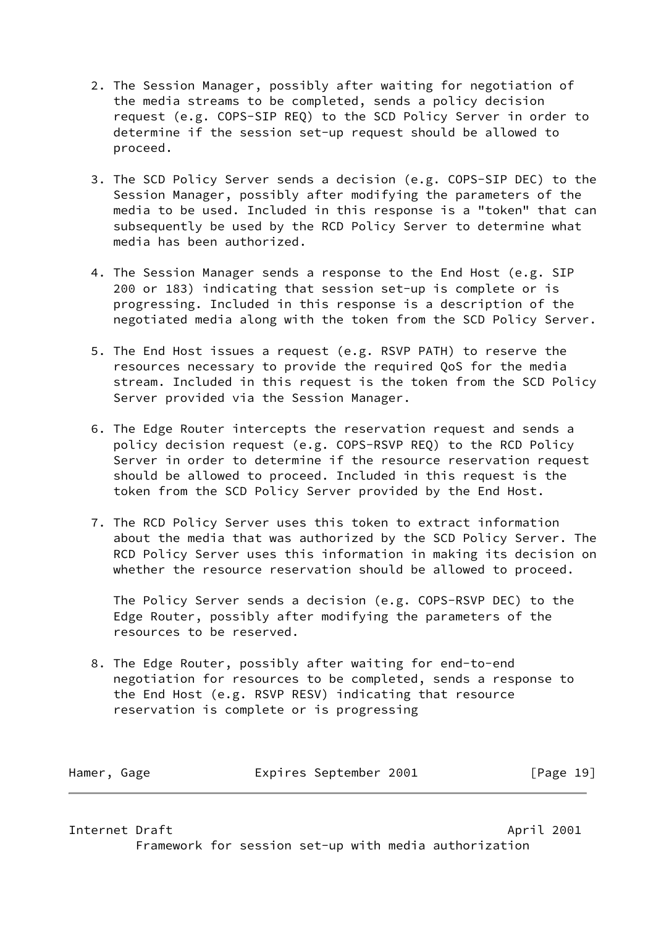- 2. The Session Manager, possibly after waiting for negotiation of the media streams to be completed, sends a policy decision request (e.g. COPS-SIP REQ) to the SCD Policy Server in order to determine if the session set-up request should be allowed to proceed.
- 3. The SCD Policy Server sends a decision (e.g. COPS-SIP DEC) to the Session Manager, possibly after modifying the parameters of the media to be used. Included in this response is a "token" that can subsequently be used by the RCD Policy Server to determine what media has been authorized.
- 4. The Session Manager sends a response to the End Host (e.g. SIP 200 or 183) indicating that session set-up is complete or is progressing. Included in this response is a description of the negotiated media along with the token from the SCD Policy Server.
- 5. The End Host issues a request (e.g. RSVP PATH) to reserve the resources necessary to provide the required QoS for the media stream. Included in this request is the token from the SCD Policy Server provided via the Session Manager.
- 6. The Edge Router intercepts the reservation request and sends a policy decision request (e.g. COPS-RSVP REQ) to the RCD Policy Server in order to determine if the resource reservation request should be allowed to proceed. Included in this request is the token from the SCD Policy Server provided by the End Host.
- 7. The RCD Policy Server uses this token to extract information about the media that was authorized by the SCD Policy Server. The RCD Policy Server uses this information in making its decision on whether the resource reservation should be allowed to proceed.

 The Policy Server sends a decision (e.g. COPS-RSVP DEC) to the Edge Router, possibly after modifying the parameters of the resources to be reserved.

 8. The Edge Router, possibly after waiting for end-to-end negotiation for resources to be completed, sends a response to the End Host (e.g. RSVP RESV) indicating that resource reservation is complete or is progressing

Hamer, Gage **Expires September 2001** [Page 19]

<span id="page-21-0"></span>Internet Draft April 2001

Framework for session set-up with media authorization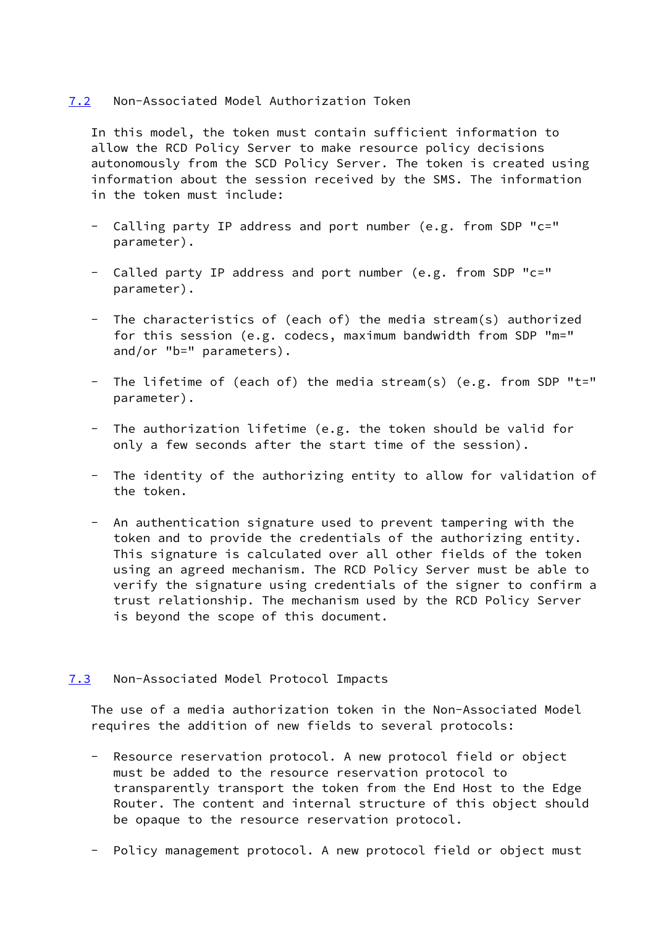### <span id="page-22-0"></span>[7.2](#page-22-0) Non-Associated Model Authorization Token

 In this model, the token must contain sufficient information to allow the RCD Policy Server to make resource policy decisions autonomously from the SCD Policy Server. The token is created using information about the session received by the SMS. The information in the token must include:

- Calling party IP address and port number (e.g. from SDP "c=" parameter).
- Called party IP address and port number (e.g. from SDP "c=" parameter).
- The characteristics of (each of) the media stream(s) authorized for this session (e.g. codecs, maximum bandwidth from SDP "m=" and/or "b=" parameters).
- The lifetime of (each of) the media stream(s) (e.g. from SDP "t=" parameter).
- The authorization lifetime (e.g. the token should be valid for only a few seconds after the start time of the session).
- The identity of the authorizing entity to allow for validation of the token.
- An authentication signature used to prevent tampering with the token and to provide the credentials of the authorizing entity. This signature is calculated over all other fields of the token using an agreed mechanism. The RCD Policy Server must be able to verify the signature using credentials of the signer to confirm a trust relationship. The mechanism used by the RCD Policy Server is beyond the scope of this document.

### <span id="page-22-1"></span>[7.3](#page-22-1) Non-Associated Model Protocol Impacts

 The use of a media authorization token in the Non-Associated Model requires the addition of new fields to several protocols:

- Resource reservation protocol. A new protocol field or object must be added to the resource reservation protocol to transparently transport the token from the End Host to the Edge Router. The content and internal structure of this object should be opaque to the resource reservation protocol.
- Policy management protocol. A new protocol field or object must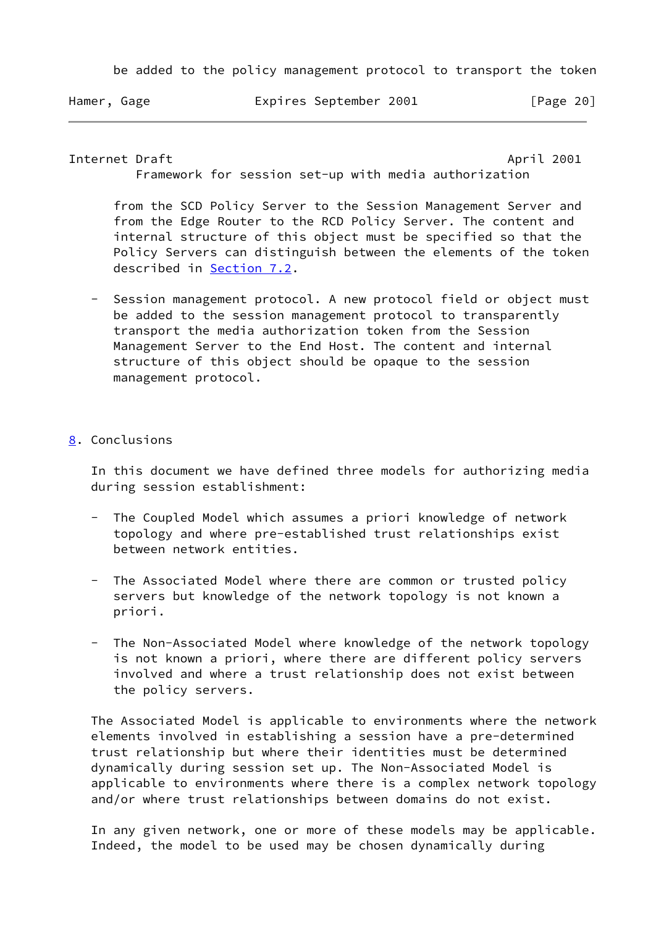be added to the policy management protocol to transport the token

Hamer, Gage **Expires September 2001** [Page 20]

<span id="page-23-1"></span>Internet Draft April 2001

Framework for session set-up with media authorization

 from the SCD Policy Server to the Session Management Server and from the Edge Router to the RCD Policy Server. The content and internal structure of this object must be specified so that the Policy Servers can distinguish between the elements of the token described in [Section 7.2](#page-22-0).

- Session management protocol. A new protocol field or object must be added to the session management protocol to transparently transport the media authorization token from the Session Management Server to the End Host. The content and internal structure of this object should be opaque to the session management protocol.
- <span id="page-23-0"></span>[8](#page-23-0). Conclusions

 In this document we have defined three models for authorizing media during session establishment:

- The Coupled Model which assumes a priori knowledge of network topology and where pre-established trust relationships exist between network entities.
- The Associated Model where there are common or trusted policy servers but knowledge of the network topology is not known a priori.
- The Non-Associated Model where knowledge of the network topology is not known a priori, where there are different policy servers involved and where a trust relationship does not exist between the policy servers.

 The Associated Model is applicable to environments where the network elements involved in establishing a session have a pre-determined trust relationship but where their identities must be determined dynamically during session set up. The Non-Associated Model is applicable to environments where there is a complex network topology and/or where trust relationships between domains do not exist.

 In any given network, one or more of these models may be applicable. Indeed, the model to be used may be chosen dynamically during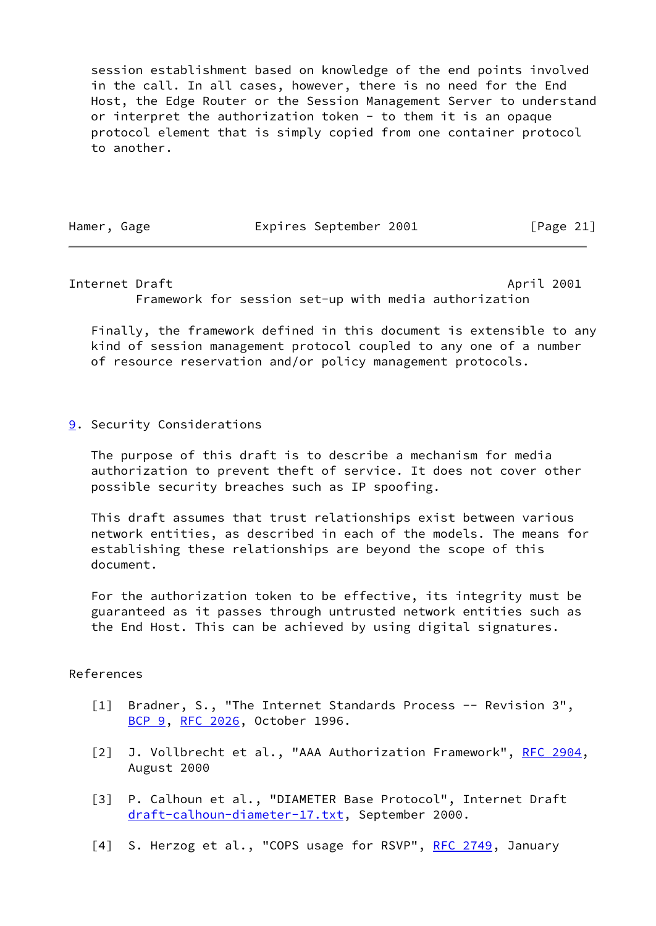session establishment based on knowledge of the end points involved in the call. In all cases, however, there is no need for the End Host, the Edge Router or the Session Management Server to understand or interpret the authorization token - to them it is an opaque protocol element that is simply copied from one container protocol to another.

Hamer, Gage **Expires September 2001** [Page 21]

<span id="page-24-2"></span>Internet Draft April 2001

Framework for session set-up with media authorization

 Finally, the framework defined in this document is extensible to any kind of session management protocol coupled to any one of a number of resource reservation and/or policy management protocols.

<span id="page-24-1"></span>[9](#page-24-1). Security Considerations

 The purpose of this draft is to describe a mechanism for media authorization to prevent theft of service. It does not cover other possible security breaches such as IP spoofing.

 This draft assumes that trust relationships exist between various network entities, as described in each of the models. The means for establishing these relationships are beyond the scope of this document.

 For the authorization token to be effective, its integrity must be guaranteed as it passes through untrusted network entities such as the End Host. This can be achieved by using digital signatures.

## References

- <span id="page-24-0"></span> [1] Bradner, S., "The Internet Standards Process -- Revision 3", [BCP 9](https://datatracker.ietf.org/doc/pdf/bcp9), [RFC 2026,](https://datatracker.ietf.org/doc/pdf/rfc2026) October 1996.
- <span id="page-24-3"></span>[2] J. Vollbrecht et al., "AAA Authorization Framework", [RFC 2904](https://datatracker.ietf.org/doc/pdf/rfc2904), August 2000
- [3] P. Calhoun et al., "DIAMETER Base Protocol", Internet Draft [draft-calhoun-diameter-17.txt](https://datatracker.ietf.org/doc/pdf/draft-calhoun-diameter-17.txt), September 2000.
- <span id="page-24-4"></span>[4] S. Herzog et al., "COPS usage for RSVP", [RFC 2749](https://datatracker.ietf.org/doc/pdf/rfc2749), January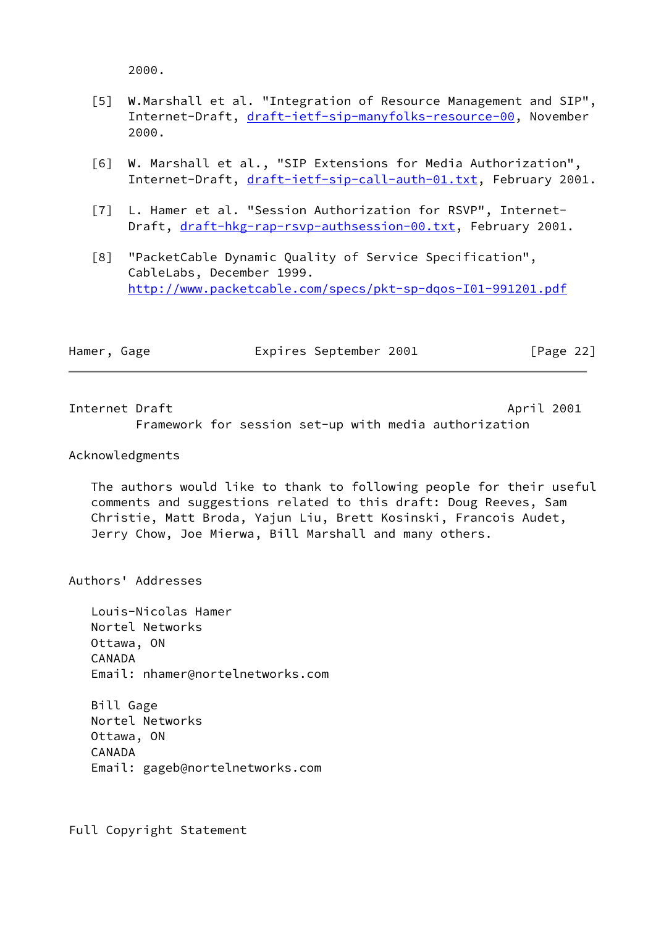2000.

- <span id="page-25-1"></span> [5] W.Marshall et al. "Integration of Resource Management and SIP", Internet-Draft, [draft-ietf-sip-manyfolks-resource-00](https://datatracker.ietf.org/doc/pdf/draft-ietf-sip-manyfolks-resource-00), November 2000.
- <span id="page-25-3"></span> [6] W. Marshall et al., "SIP Extensions for Media Authorization", Internet-Draft, [draft-ietf-sip-call-auth-01.txt](https://datatracker.ietf.org/doc/pdf/draft-ietf-sip-call-auth-01.txt), February 2001.
- <span id="page-25-4"></span> [7] L. Hamer et al. "Session Authorization for RSVP", Internet Draft, [draft-hkg-rap-rsvp-authsession-00.txt,](https://datatracker.ietf.org/doc/pdf/draft-hkg-rap-rsvp-authsession-00.txt) February 2001.
- <span id="page-25-2"></span> [8] "PacketCable Dynamic Quality of Service Specification", CableLabs, December 1999. <http://www.packetcable.com/specs/pkt-sp-dqos-I01-991201.pdf>

| Hamer, Gage | Expires September 2001 | [Page 22] |  |
|-------------|------------------------|-----------|--|
|             |                        |           |  |

<span id="page-25-0"></span>Internet Draft April 2001 Framework for session set-up with media authorization

### Acknowledgments

 The authors would like to thank to following people for their useful comments and suggestions related to this draft: Doug Reeves, Sam Christie, Matt Broda, Yajun Liu, Brett Kosinski, Francois Audet, Jerry Chow, Joe Mierwa, Bill Marshall and many others.

Authors' Addresses

 Louis-Nicolas Hamer Nortel Networks Ottawa, ON CANADA Email: nhamer@nortelnetworks.com

 Bill Gage Nortel Networks Ottawa, ON CANADA Email: gageb@nortelnetworks.com

Full Copyright Statement